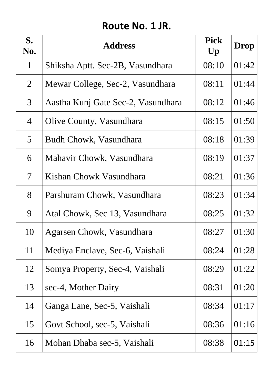# **Route No. 1 JR.**

| S.<br>No.                | <b>Address</b>                     | <b>Pick</b><br>$\mathbf{U}\mathbf{p}$ | Drop  |
|--------------------------|------------------------------------|---------------------------------------|-------|
| $\mathbf{1}$             | Shiksha Aptt. Sec-2B, Vasundhara   | 08:10                                 | 01:42 |
| $\overline{2}$           | Mewar College, Sec-2, Vasundhara   | 08:11                                 | 01:44 |
| $\mathfrak{Z}$           | Aastha Kunj Gate Sec-2, Vasundhara | 08:12                                 | 01:46 |
| $\overline{4}$           | <b>Olive County, Vasundhara</b>    | 08:15                                 | 01:50 |
| $5\overline{)}$          | Budh Chowk, Vasundhara             | 08:18                                 | 01:39 |
| 6                        | Mahavir Chowk, Vasundhara          | 08:19                                 | 01:37 |
| $\overline{\mathcal{I}}$ | Kishan Chowk Vasundhara            | 08:21                                 | 01:36 |
| 8                        | Parshuram Chowk, Vasundhara        | 08:23                                 | 01:34 |
| 9                        | Atal Chowk, Sec 13, Vasundhara     | 08:25                                 | 01:32 |
| 10                       | Agarsen Chowk, Vasundhara          | 08:27                                 | 01:30 |
| 11                       | Mediya Enclave, Sec-6, Vaishali    | 08:24                                 | 01:28 |
| 12                       | Somya Property, Sec-4, Vaishali    | 08:29                                 | 01:22 |
| 13                       | sec-4, Mother Dairy                | 08:31                                 | 01:20 |
| 14                       | Ganga Lane, Sec-5, Vaishali        | 08:34                                 | 01:17 |
| 15                       | Govt School, sec-5, Vaishali       | 08:36                                 | 01:16 |
| 16                       | Mohan Dhaba sec-5, Vaishali        | 08:38                                 | 01:15 |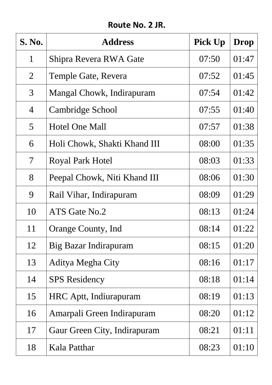### **Route No. 2 JR.**

| <b>S. No.</b>            | <b>Address</b>               | Pick Up | Drop  |
|--------------------------|------------------------------|---------|-------|
| 1                        | Shipra Revera RWA Gate       | 07:50   | 01:47 |
| $\overline{2}$           | Temple Gate, Revera          | 07:52   | 01:45 |
| 3                        | Mangal Chowk, Indirapuram    | 07:54   | 01:42 |
| $\overline{4}$           | <b>Cambridge School</b>      | 07:55   | 01:40 |
| $\overline{5}$           | <b>Hotel One Mall</b>        | 07:57   | 01:38 |
| 6                        | Holi Chowk, Shakti Khand III | 08:00   | 01:35 |
| $\overline{\mathcal{L}}$ | Royal Park Hotel             | 08:03   | 01:33 |
| 8                        | Peepal Chowk, Niti Khand III | 08:06   | 01:30 |
| 9                        | Rail Vihar, Indirapuram      | 08:09   | 01:29 |
| 10                       | ATS Gate No.2                | 08:13   | 01:24 |
| 11                       | <b>Orange County, Ind</b>    | 08:14   | 01:22 |
| 12                       | Big Bazar Indirapuram        | 08:15   | 01:20 |
| 13                       | Aditya Megha City            | 08:16   | 01:17 |
| 14                       | <b>SPS</b> Residency         | 08:18   | 01:14 |
| 15                       | HRC Aptt, Indiurapuram       | 08:19   | 01:13 |
| 16                       | Amarpali Green Indirapuram   | 08:20   | 01:12 |
| 17                       | Gaur Green City, Indirapuram | 08:21   | 01:11 |
| 18                       | Kala Patthar                 | 08:23   | 01:10 |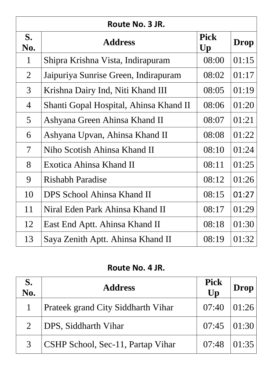| Route No. 3 JR.          |                                        |                                       |             |
|--------------------------|----------------------------------------|---------------------------------------|-------------|
| S.<br>No.                | <b>Address</b>                         | <b>Pick</b><br>$\mathbf{U}\mathbf{p}$ | <b>Drop</b> |
| $\mathbf{1}$             | Shipra Krishna Vista, Indirapuram      | 08:00                                 | 01:15       |
| $\overline{2}$           | Jaipuriya Sunrise Green, Indirapuram   | 08:02                                 | 01:17       |
| 3                        | Krishna Dairy Ind, Niti Khand III      | 08:05                                 | 01:19       |
| $\overline{4}$           | Shanti Gopal Hospital, Ahinsa Khand II | 08:06                                 | 01:20       |
| 5                        | Ashyana Green Ahinsa Khand II          | 08:07                                 | 01:21       |
| 6                        | Ashyana Upvan, Ahinsa Khand II         | 08:08                                 | 01:22       |
| $\overline{\mathcal{U}}$ | Niho Scotish Ahinsa Khand II           | 08:10                                 | 01:24       |
| 8                        | Exotica Ahinsa Khand II                | 08:11                                 | 01:25       |
| 9                        | <b>Rishabh Paradise</b>                | 08:12                                 | 01:26       |
| 10                       | <b>DPS School Ahinsa Khand II</b>      | 08:15                                 | 01:27       |
| 11                       | Niral Eden Park Ahinsa Khand II        | 08:17                                 | 01:29       |
| 12                       | East End Aptt. Ahinsa Khand II         | 08:18                                 | 01:30       |
| 13                       | Saya Zenith Aptt. Ahinsa Khand II      | 08:19                                 | 01:32       |

# **Route No. 4 JR.**

| S.<br>No. | <b>Address</b>                            | <b>Pick</b><br>Up | Drop   |
|-----------|-------------------------------------------|-------------------|--------|
|           | <b>Prateek grand City Siddharth Vihar</b> | $07:40$ $ 01:26$  |        |
|           | DPS, Siddharth Vihar                      | $07:45$ $ 01:30 $ |        |
|           | <b>CSHP School, Sec-11, Partap Vihar</b>  | 07:48             | 101:35 |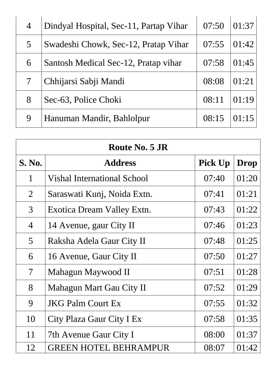| $\overline{4}$ | Dindyal Hospital, Sec-11, Partap Vihar | 07:50 | 01:37 |
|----------------|----------------------------------------|-------|-------|
| 5 <sup>1</sup> | Swadeshi Chowk, Sec-12, Pratap Vihar   | 07:55 | 01:42 |
| 6              | Santosh Medical Sec-12, Pratap vihar   | 07:58 | 01:45 |
|                | Chhijarsi Sabji Mandi                  | 08:08 | 01:21 |
| 8              | Sec-63, Police Choki                   | 08:11 | 01:19 |
| 9              | Hanuman Mandir, Bahlolpur              | 08:15 | 01:15 |

| <b>Route No. 5 JR</b>    |                                    |                |             |
|--------------------------|------------------------------------|----------------|-------------|
| <b>S. No.</b>            | <b>Address</b>                     | <b>Pick Up</b> | <b>Drop</b> |
| $\mathbf{1}$             | <b>Vishal International School</b> | 07:40          | 01:20       |
| $\overline{2}$           | Saraswati Kunj, Noida Extn.        | 07:41          | 01:21       |
| $\overline{3}$           | Exotica Dream Valley Extn.         | 07:43          | 01:22       |
| $\overline{4}$           | 14 Avenue, gaur City II            | 07:46          | 01:23       |
| $\overline{5}$           | Raksha Adela Gaur City II          | 07:48          | 01:25       |
| 6                        | 16 Avenue, Gaur City II            | 07:50          | 01:27       |
| $\overline{\mathcal{I}}$ | Mahagun Maywood II                 | 07:51          | 01:28       |
| 8                        | Mahagun Mart Gau City II           | 07:52          | 01:29       |
| 9                        | <b>JKG Palm Court Ex</b>           | 07:55          | 01:32       |
| 10                       | City Plaza Gaur City I Ex          | 07:58          | 01:35       |
| 11                       | 7th Avenue Gaur City I             | 08:00          | 01:37       |
| 12                       | <b>GREEN HOTEL BEHRAMPUR</b>       | 08:07          | 01:42       |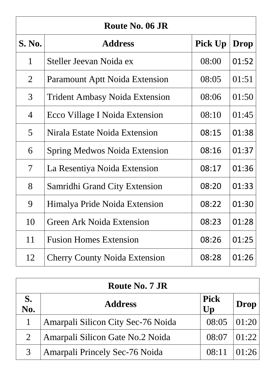| Route No. 06 JR          |                                       |                |             |
|--------------------------|---------------------------------------|----------------|-------------|
| <b>S. No.</b>            | <b>Address</b>                        | <b>Pick Up</b> | <b>Drop</b> |
| $\mathbf{1}$             | Steller Jeevan Noida ex               | 08:00          | 01:52       |
| $\overline{2}$           | <b>Paramount Aptt Noida Extension</b> | 08:05          | 01:51       |
| 3                        | <b>Trident Ambasy Noida Extension</b> | 08:06          | 01:50       |
| $\overline{4}$           | <b>Ecco Village I Noida Extension</b> | 08:10          | 01:45       |
| 5                        | Nirala Estate Noida Extension         | 08:15          | 01:38       |
| 6                        | <b>Spring Medwos Noida Extension</b>  | 08:16          | 01:37       |
| $\overline{\mathcal{L}}$ | La Resentiya Noida Extension          | 08:17          | 01:36       |
| 8                        | <b>Samridhi Grand City Extension</b>  | 08:20          | 01:33       |
| 9                        | Himalya Pride Noida Extension         | 08:22          | 01:30       |
| 10                       | <b>Green Ark Noida Extension</b>      | 08:23          | 01:28       |
| 11                       | <b>Fusion Homes Extension</b>         | 08:26          | 01:25       |
| 12                       | <b>Cherry County Noida Extension</b>  | 08:28          | 01:26       |

| <b>Route No. 7 JR</b> |                                       |                   |       |
|-----------------------|---------------------------------------|-------------------|-------|
| S.<br>No.             | <b>Address</b>                        | <b>Pick</b><br>Up | Drop  |
|                       | Amarpali Silicon City Sec-76 Noida    | 08:05             | 01:20 |
| $\overline{2}$        | Amarpali Silicon Gate No.2 Noida      | 08:07             | 01:22 |
|                       | <b>Amarpali Princely Sec-76 Noida</b> | 08:11             | 01:26 |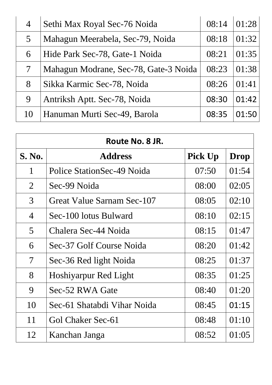| 4  | Sethi Max Royal Sec-76 Noida          | 08:14 | 01:28 |
|----|---------------------------------------|-------|-------|
| 5  | Mahagun Meerabela, Sec-79, Noida      | 08:18 | 01:32 |
| 6  | Hide Park Sec-78, Gate-1 Noida        | 08:21 | 01:35 |
|    | Mahagun Modrane, Sec-78, Gate-3 Noida | 08:23 | 01:38 |
| 8  | Sikka Karmic Sec-78, Noida            | 08:26 | 01:41 |
| 9  | Antriksh Aptt. Sec-78, Noida          | 08:30 | 01:42 |
| 10 | Hanuman Murti Sec-49, Barola          | 08:35 | 01·50 |

| Route No. 8 JR.          |                              |                |             |  |
|--------------------------|------------------------------|----------------|-------------|--|
| <b>S. No.</b>            | <b>Address</b>               | <b>Pick Up</b> | <b>Drop</b> |  |
| $\mathbf{1}$             | Police StationSec-49 Noida   | 07:50          | 01:54       |  |
| $\overline{2}$           | Sec-99 Noida                 | 08:00          | 02:05       |  |
| 3                        | Great Value Sarnam Sec-107   | 08:05          | 02:10       |  |
| $\overline{4}$           | Sec-100 lotus Bulward        | 08:10          | 02:15       |  |
| 5                        | Chalera Sec-44 Noida         | 08:15          | 01:47       |  |
| 6                        | Sec-37 Golf Course Noida     | 08:20          | 01:42       |  |
| $\overline{\mathcal{I}}$ | Sec-36 Red light Noida       | 08:25          | 01:37       |  |
| 8                        | <b>Hoshiyarpur Red Light</b> | 08:35          | 01:25       |  |
| 9                        | Sec-52 RWA Gate              | 08:40          | 01:20       |  |
| 10                       | Sec-61 Shatabdi Vihar Noida  | 08:45          | 01:15       |  |
| 11                       | Gol Chaker Sec-61            | 08:48          | 01:10       |  |
| 12                       | Kanchan Janga                | 08:52          | 01:05       |  |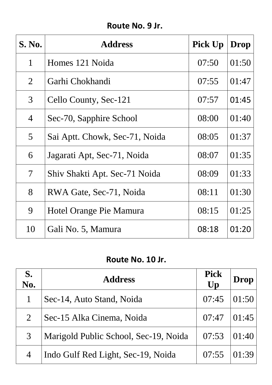### **Route No. 9 Jr.**

| <b>S. No.</b>            | <b>Address</b>                 | <b>Pick Up</b> | <b>Drop</b> |
|--------------------------|--------------------------------|----------------|-------------|
| $\mathbf{1}$             | Homes 121 Noida                | 07:50          | 01:50       |
| $\overline{2}$           | Garhi Chokhandi                | 07:55          | 01:47       |
| 3                        | Cello County, Sec-121          | 07:57          | 01:45       |
| $\overline{4}$           | Sec-70, Sapphire School        | 08:00          | 01:40       |
| 5                        | Sai Aptt. Chowk, Sec-71, Noida | 08:05          | 01:37       |
| 6                        | Jagarati Apt, Sec-71, Noida    | 08:07          | 01:35       |
| $\overline{\mathcal{I}}$ | Shiv Shakti Apt. Sec-71 Noida  | 08:09          | 01:33       |
| 8                        | RWA Gate, Sec-71, Noida        | 08:11          | 01:30       |
| 9                        | Hotel Orange Pie Mamura        | 08:15          | 01:25       |
| 10                       | Gali No. 5, Mamura             | 08:18          | 01:20       |

### **Route No. 10 Jr.**

| S.<br>No.      | <b>Address</b>                        | <b>Pick</b><br>Up | Drop  |
|----------------|---------------------------------------|-------------------|-------|
| $\mathbf{1}$   | Sec-14, Auto Stand, Noida             | 07:45             | 01:50 |
| $\overline{2}$ | Sec-15 Alka Cinema, Noida             | 07:47             | 01:45 |
| 3              | Marigold Public School, Sec-19, Noida | 07:53             | 01:40 |
| $\overline{4}$ | Indo Gulf Red Light, Sec-19, Noida    | 07:55             | 01:39 |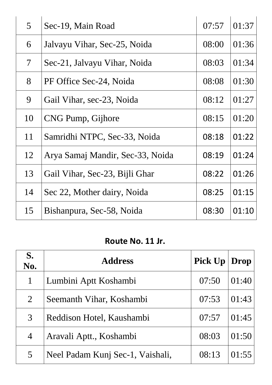| 5 <sup>1</sup>           | Sec-19, Main Road                | 07:57 | 01:37 |
|--------------------------|----------------------------------|-------|-------|
| 6                        | Jalvayu Vihar, Sec-25, Noida     | 08:00 | 01:36 |
| $\overline{\mathcal{L}}$ | Sec-21, Jalvayu Vihar, Noida     | 08:03 | 01:34 |
| 8                        | PF Office Sec-24, Noida          | 08:08 | 01:30 |
| 9                        | Gail Vihar, sec-23, Noida        | 08:12 | 01:27 |
| 10                       | CNG Pump, Gijhore                | 08:15 | 01:20 |
| 11                       | Samridhi NTPC, Sec-33, Noida     | 08:18 | 01:22 |
| 12                       | Arya Samaj Mandir, Sec-33, Noida | 08:19 | 01:24 |
| 13                       | Gail Vihar, Sec-23, Bijli Ghar   | 08:22 | 01:26 |
| 14                       | Sec 22, Mother dairy, Noida      | 08:25 | 01:15 |
| 15                       | Bishanpura, Sec-58, Noida        | 08:30 | 01:10 |

### **Route No. 11 Jr.**

| S.<br>No.      | <b>Address</b>                   | <b>Pick Up</b> | Drop  |
|----------------|----------------------------------|----------------|-------|
| $\mathbf{1}$   | Lumbini Aptt Koshambi            | 07:50          | 01:40 |
| $\overline{2}$ | Seemanth Vihar, Koshambi         | 07:53          | 01:43 |
| 3              | Reddison Hotel, Kaushambi        | 07:57          | 01:45 |
| $\overline{4}$ | Aravali Aptt., Koshambi          | 08:03          | 01:50 |
| 5              | Neel Padam Kunj Sec-1, Vaishali, | 08:13          | 01:55 |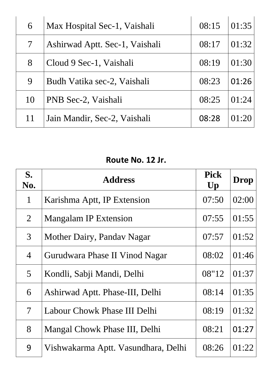| 6      | Max Hospital Sec-1, Vaishali   | 08:15 | 01:35 |
|--------|--------------------------------|-------|-------|
| $\tau$ | Ashirwad Aptt. Sec-1, Vaishali | 08:17 | 01:32 |
| 8      | Cloud 9 Sec-1, Vaishali        | 08:19 | 01:30 |
| 9      | Budh Vatika sec-2, Vaishali    | 08:23 | 01:26 |
| 10     | PNB Sec-2, Vaishali            | 08:25 | 01:24 |
| 11     | Jain Mandir, Sec-2, Vaishali   | 08:28 | 01:20 |

# **Route No. 12 Jr.**

| S.<br>No.                | <b>Address</b>                      | <b>Pick</b><br>Up | <b>Drop</b> |
|--------------------------|-------------------------------------|-------------------|-------------|
| $\mathbf{1}$             | Karishma Aptt, IP Extension         | 07:50             | 02:00       |
| $\overline{2}$           | <b>Mangalam IP Extension</b>        | 07:55             | 01:55       |
| $\mathfrak{Z}$           | Mother Dairy, Pandav Nagar          | 07:57             | 01:52       |
| $\overline{4}$           | Gurudwara Phase II Vinod Nagar      | 08:02             | 01:46       |
| 5 <sup>5</sup>           | Kondli, Sabji Mandi, Delhi          | 08"12             | 01:37       |
| 6                        | Ashirwad Aptt. Phase-III, Delhi     | 08:14             | 01:35       |
| $\overline{\mathcal{U}}$ | Labour Chowk Phase III Delhi        | 08:19             | 01:32       |
| 8                        | Mangal Chowk Phase III, Delhi       | 08:21             | 01:27       |
| 9                        | Vishwakarma Aptt. Vasundhara, Delhi | 08:26             | 01:22       |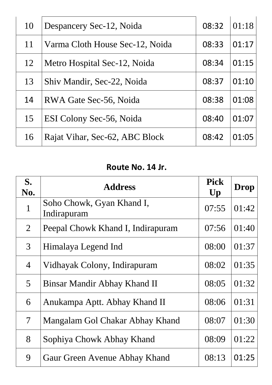| 10 | Despancery Sec-12, Noida        | 08:32 | 01:18 |
|----|---------------------------------|-------|-------|
| 11 | Varma Cloth House Sec-12, Noida | 08:33 | 01:17 |
| 12 | Metro Hospital Sec-12, Noida    | 08:34 | 01:15 |
| 13 | Shiv Mandir, Sec-22, Noida      | 08:37 | 01:10 |
| 14 | RWA Gate Sec-56, Noida          | 08:38 | 01:08 |
| 15 | ESI Colony Sec-56, Noida        | 08:40 | 01:07 |
| 16 | Rajat Vihar, Sec-62, ABC Block  | 08:42 | 01:05 |

### **Route No. 14 Jr.**

| $S_{\bullet}$<br>No.     | <b>Address</b>                           | <b>Pick</b><br>Up | <b>Drop</b> |
|--------------------------|------------------------------------------|-------------------|-------------|
| $\mathbf{1}$             | Soho Chowk, Gyan Khand I,<br>Indirapuram | 07:55             | 01:42       |
| $\overline{2}$           | Peepal Chowk Khand I, Indirapuram        | 07:56             | 01:40       |
| 3                        | Himalaya Legend Ind                      | 08:00             | 01:37       |
| $\overline{4}$           | Vidhayak Colony, Indirapuram             | 08:02             | 01:35       |
| $\overline{5}$           | Binsar Mandir Abhay Khand II             | 08:05             | 01:32       |
| 6                        | Anukampa Aptt. Abhay Khand II            | 08:06             | 01:31       |
| $\overline{\mathcal{I}}$ | Mangalam Gol Chakar Abhay Khand          | 08:07             | 01:30       |
| 8                        | Sophiya Chowk Abhay Khand                | 08:09             | 01:22       |
| 9                        | Gaur Green Avenue Abhay Khand            | 08:13             | 01:25       |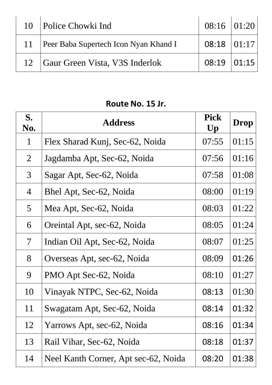|    | 10   Police Chowki Ind                | $08:16$ 01:20    |  |
|----|---------------------------------------|------------------|--|
| 11 | Peer Baba Supertech Icon Nyan Khand I | $08:18$ $ 01:17$ |  |
|    | 12 Gaur Green Vista, V3S Inderlok     | $08:19$ 01:15    |  |

### **Route No. 15 Jr.**

| S.<br>No.                | <b>Address</b>                       | <b>Pick</b><br>Up | Drop  |
|--------------------------|--------------------------------------|-------------------|-------|
| $\mathbf{1}$             | Flex Sharad Kunj, Sec-62, Noida      | 07:55             | 01:15 |
| $\overline{2}$           | Jagdamba Apt, Sec-62, Noida          | 07:56             | 01:16 |
| $\mathfrak{Z}$           | Sagar Apt, Sec-62, Noida             | 07:58             | 01:08 |
| 4                        | Bhel Apt, Sec-62, Noida              | 08:00             | 01:19 |
| 5 <sup>1</sup>           | Mea Apt, Sec-62, Noida               | 08:03             | 01:22 |
| 6                        | Oreintal Apt, sec-62, Noida          | 08:05             | 01:24 |
| $\overline{\mathcal{L}}$ | Indian Oil Apt, Sec-62, Noida        | 08:07             | 01:25 |
| 8                        | Overseas Apt, sec-62, Noida          | 08:09             | 01:26 |
| 9                        | PMO Apt Sec-62, Noida                | 08:10             | 01:27 |
| 10                       | Vinayak NTPC, Sec-62, Noida          | 08:13             | 01:30 |
| 11                       | Swagatam Apt, Sec-62, Noida          | 08:14             | 01:32 |
| 12                       | Yarrows Apt, sec-62, Noida           | 08:16             | 01:34 |
| 13                       | Rail Vihar, Sec-62, Noida            | 08:18             | 01:37 |
| 14                       | Neel Kanth Corner, Apt sec-62, Noida | 08:20             | 01:38 |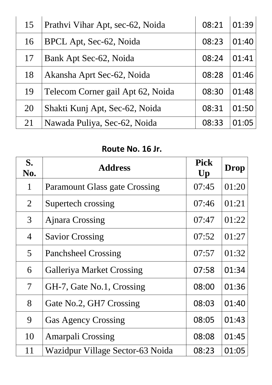| 15 | Prathvi Vihar Apt, sec-62, Noida  | 08:21 | 01:39 |
|----|-----------------------------------|-------|-------|
| 16 | BPCL Apt, Sec-62, Noida           | 08:23 | 01:40 |
| 17 | Bank Apt Sec-62, Noida            | 08:24 | 01:41 |
| 18 | Akansha Aprt Sec-62, Noida        | 08:28 | 01:46 |
| 19 | Telecom Corner gail Apt 62, Noida | 08:30 | 01:48 |
| 20 | Shakti Kunj Apt, Sec-62, Noida    | 08:31 | 01:50 |
| 21 | Nawada Puliya, Sec-62, Noida      | 08:33 | 01:05 |

#### **Route No. 16 Jr.**

| S.<br>No.                | <b>Address</b>                       | <b>Pick</b><br>$\mathbf{U}\mathbf{p}$ | <b>Drop</b> |
|--------------------------|--------------------------------------|---------------------------------------|-------------|
| $\mathbf{1}$             | <b>Paramount Glass gate Crossing</b> | 07:45                                 | 01:20       |
| $\overline{2}$           | Supertech crossing                   | 07:46                                 | 01:21       |
| 3                        | <b>Ajnara Crossing</b>               | 07:47                                 | 01:22       |
| $\overline{4}$           | <b>Savior Crossing</b>               | 07:52                                 | 01:27       |
| $\overline{5}$           | <b>Panchsheel Crossing</b>           | 07:57                                 | 01:32       |
| 6                        | <b>Galleriya Market Crossing</b>     | 07:58                                 | 01:34       |
| $\overline{\mathcal{I}}$ | GH-7, Gate No.1, Crossing            | 08:00                                 | 01:36       |
| 8                        | Gate No.2, GH7 Crossing              | 08:03                                 | 01:40       |
| 9                        | <b>Gas Agency Crossing</b>           | 08:05                                 | 01:43       |
| 10                       | <b>Amarpali Crossing</b>             | 08:08                                 | 01:45       |
| 11                       | Wazidpur Village Sector-63 Noida     | 08:23                                 | 01:05       |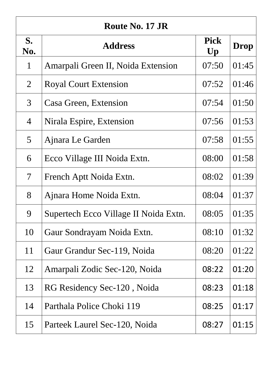| Route No. 17 JR          |                                       |                                       |             |
|--------------------------|---------------------------------------|---------------------------------------|-------------|
| S.<br>No.                | <b>Address</b>                        | <b>Pick</b><br>$\mathbf{U}\mathbf{p}$ | <b>Drop</b> |
| $\mathbf{1}$             | Amarpali Green II, Noida Extension    | 07:50                                 | 01:45       |
| $\overline{2}$           | <b>Royal Court Extension</b>          | 07:52                                 | 01:46       |
| 3 <sup>1</sup>           | Casa Green, Extension                 | 07:54                                 | 01:50       |
| $\overline{4}$           | Nirala Espire, Extension              | 07:56                                 | 01:53       |
| 5                        | Ajnara Le Garden                      | 07:58                                 | 01:55       |
| 6                        | Ecco Village III Noida Extn.          | 08:00                                 | 01:58       |
| $\overline{\mathcal{L}}$ | French Aptt Noida Extn.               | 08:02                                 | 01:39       |
| 8                        | Ajnara Home Noida Extn.               | 08:04                                 | 01:37       |
| 9                        | Supertech Ecco Village II Noida Extn. | 08:05                                 | 01:35       |
| 10                       | Gaur Sondrayam Noida Extn.            | 08:10                                 | 01:32       |
| 11                       | Gaur Grandur Sec-119, Noida           | 08:20                                 | 01:22       |
| 12                       | Amarpali Zodic Sec-120, Noida         | 08:22                                 | 01:20       |
| 13                       | RG Residency Sec-120, Noida           | 08:23                                 | 01:18       |
| 14                       | Parthala Police Choki 119             | 08:25                                 | 01:17       |
| 15                       | Parteek Laurel Sec-120, Noida         | 08:27                                 | 01:15       |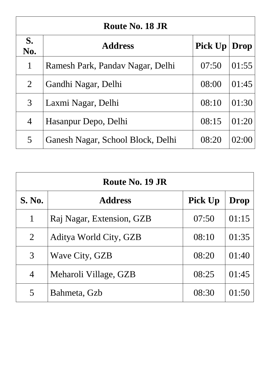| Route No. 18 JR |                                   |                |       |
|-----------------|-----------------------------------|----------------|-------|
| S.<br>No.       | <b>Address</b>                    | <b>Pick Up</b> | Drop  |
| 1               | Ramesh Park, Panday Nagar, Delhi  | 07:50          | 01:55 |
| 2               | Gandhi Nagar, Delhi               | 08:00          | 01:45 |
| 3               | Laxmi Nagar, Delhi                | 08:10          | 01:30 |
| 4               | Hasanpur Depo, Delhi              | 08:15          | 01:20 |
| 5               | Ganesh Nagar, School Block, Delhi | 08:20          | 02:00 |

| Route No. 19 JR |                           |                |       |  |  |  |  |
|-----------------|---------------------------|----------------|-------|--|--|--|--|
| <b>S. No.</b>   | <b>Address</b>            | <b>Pick Up</b> | Drop  |  |  |  |  |
| $\mathbf 1$     | Raj Nagar, Extension, GZB | 07:50          | 01:15 |  |  |  |  |
| $\overline{2}$  | Aditya World City, GZB    | 08:10          | 01:35 |  |  |  |  |
| 3               | Wave City, GZB            | 08:20          | 01:40 |  |  |  |  |
| $\overline{4}$  | Meharoli Village, GZB     | 08:25          | 01:45 |  |  |  |  |
| 5               | Bahmeta, Gzb              | 08:30          | 01:50 |  |  |  |  |